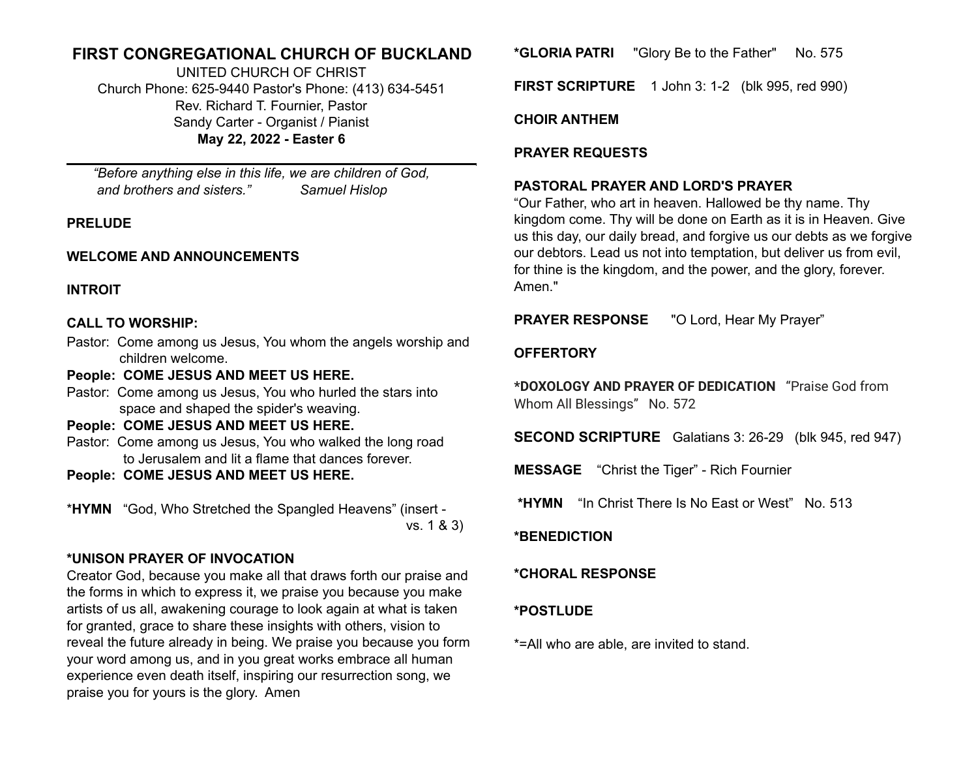## **FIRST CONGREGATIONAL CHURCH OF BUCKLAND**

UNITED CHURCH OF CHRIST Church Phone: 625-9440 Pastor's Phone: (413) 634-5451 Rev. Richard T. Fournier, Pastor Sandy Carter - Organist / Pianist **May 22, 2022 - Easter 6**

*"Before anything else in this life, we are children of God, and brothers and sisters." Samuel Hislop*

#### **PRELUDE**

### **WELCOME AND ANNOUNCEMENTS**

#### **INTROIT**

#### **CALL TO WORSHIP:**

Pastor: Come among us Jesus, You whom the angels worship and children welcome.

**People: COME JESUS AND MEET US HERE.**

Pastor: Come among us Jesus, You who hurled the stars into space and shaped the spider's weaving.

**People: COME JESUS AND MEET US HERE.**

- Pastor: Come among us Jesus, You who walked the long road to Jerusalem and lit a flame that dances forever.
- **People: COME JESUS AND MEET US HERE.**

\***HYMN** "God, Who Stretched the Spangled Heavens" (insert vs. 1 & 3)

#### **\*UNISON PRAYER OF INVOCATION**

Creator God, because you make all that draws forth our praise and the forms in which to express it, we praise you because you make artists of us all, awakening courage to look again at what is taken for granted, grace to share these insights with others, vision to reveal the future already in being. We praise you because you form your word among us, and in you great works embrace all human experience even death itself, inspiring our resurrection song, we praise you for yours is the glory. Amen

**\*GLORIA PATRI** "Glory Be to the Father" No. 575

**FIRST SCRIPTURE** 1 John 3: 1-2 (blk 995, red 990)

#### **CHOIR ANTHEM**

#### **PRAYER REQUESTS**

#### **PASTORAL PRAYER AND LORD'S PRAYER**

"Our Father, who art in heaven. Hallowed be thy name. Thy kingdom come. Thy will be done on Earth as it is in Heaven. Give us this day, our daily bread, and forgive us our debts as we forgive our debtors. Lead us not into temptation, but deliver us from evil, for thine is the kingdom, and the power, and the glory, forever. Amen."

**PRAYER RESPONSE** "O Lord, Hear My Prayer"

### **OFFERTORY**

**\*DOXOLOGY AND PRAYER OF DEDICATION** "Praise God from Whom All Blessings" No. 572

**SECOND SCRIPTURE** Galatians 3: 26-29 (blk 945, red 947)

**MESSAGE** "Christ the Tiger" - Rich Fournier

**\*HYMN** "In Christ There Is No East or West" No. 513

#### **\*BENEDICTION**

#### **\*CHORAL RESPONSE**

#### **\*POSTLUDE**

\*=All who are able, are invited to stand.